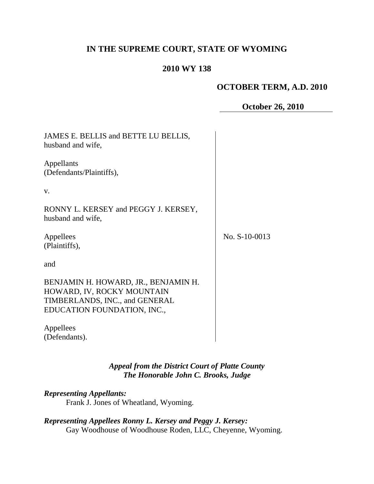# **IN THE SUPREME COURT, STATE OF WYOMING**

## **2010 WY 138**

### **OCTOBER TERM, A.D. 2010**

**October 26, 2010**

| JAMES E. BELLIS and BETTE LU BELLIS,<br>husband and wife,                                                                           |               |
|-------------------------------------------------------------------------------------------------------------------------------------|---------------|
| Appellants<br>(Defendants/Plaintiffs),                                                                                              |               |
| V.                                                                                                                                  |               |
| RONNY L. KERSEY and PEGGY J. KERSEY,<br>husband and wife,                                                                           |               |
| Appellees<br>(Plaintiffs),                                                                                                          | No. S-10-0013 |
| and                                                                                                                                 |               |
| BENJAMIN H. HOWARD, JR., BENJAMIN H.<br>HOWARD, IV, ROCKY MOUNTAIN<br>TIMBERLANDS, INC., and GENERAL<br>EDUCATION FOUNDATION, INC., |               |
| Appellees<br>(Defendants).                                                                                                          |               |

*Appeal from the District Court of Platte County The Honorable John C. Brooks, Judge*

*Representing Appellants:*

Frank J. Jones of Wheatland, Wyoming.

# *Representing Appellees Ronny L. Kersey and Peggy J. Kersey:*

Gay Woodhouse of Woodhouse Roden, LLC, Cheyenne, Wyoming.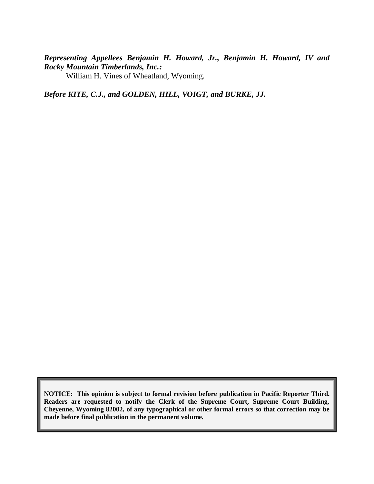# *Representing Appellees Benjamin H. Howard, Jr., Benjamin H. Howard, IV and Rocky Mountain Timberlands, Inc.:*

William H. Vines of Wheatland, Wyoming.

*Before KITE, C.J., and GOLDEN, HILL, VOIGT, and BURKE, JJ.*

**NOTICE: This opinion is subject to formal revision before publication in Pacific Reporter Third. Readers are requested to notify the Clerk of the Supreme Court, Supreme Court Building, Cheyenne, Wyoming 82002, of any typographical or other formal errors so that correction may be made before final publication in the permanent volume.**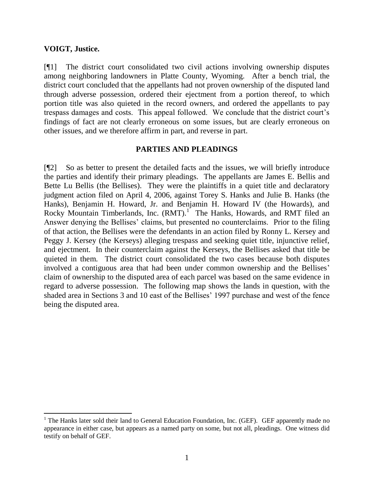#### **VOIGT, Justice.**

[¶1] The district court consolidated two civil actions involving ownership disputes among neighboring landowners in Platte County, Wyoming. After a bench trial, the district court concluded that the appellants had not proven ownership of the disputed land through adverse possession, ordered their ejectment from a portion thereof, to which portion title was also quieted in the record owners, and ordered the appellants to pay trespass damages and costs. This appeal followed. We conclude that the district court's findings of fact are not clearly erroneous on some issues, but are clearly erroneous on other issues, and we therefore affirm in part, and reverse in part.

#### **PARTIES AND PLEADINGS**

[¶2] So as better to present the detailed facts and the issues, we will briefly introduce the parties and identify their primary pleadings. The appellants are James E. Bellis and Bette Lu Bellis (the Bellises). They were the plaintiffs in a quiet title and declaratory judgment action filed on April 4, 2006, against Torey S. Hanks and Julie B. Hanks (the Hanks), Benjamin H. Howard, Jr. and Benjamin H. Howard IV (the Howards), and Rocky Mountain Timberlands, Inc. (RMT).<sup>1</sup> The Hanks, Howards, and RMT filed an Answer denying the Bellises' claims, but presented no counterclaims. Prior to the filing of that action, the Bellises were the defendants in an action filed by Ronny L. Kersey and Peggy J. Kersey (the Kerseys) alleging trespass and seeking quiet title, injunctive relief, and ejectment. In their counterclaim against the Kerseys, the Bellises asked that title be quieted in them. The district court consolidated the two cases because both disputes involved a contiguous area that had been under common ownership and the Bellises' claim of ownership to the disputed area of each parcel was based on the same evidence in regard to adverse possession. The following map shows the lands in question, with the shaded area in Sections 3 and 10 east of the Bellises' 1997 purchase and west of the fence being the disputed area.

 $1$  The Hanks later sold their land to General Education Foundation, Inc. (GEF). GEF apparently made no appearance in either case, but appears as a named party on some, but not all, pleadings. One witness did testify on behalf of GEF.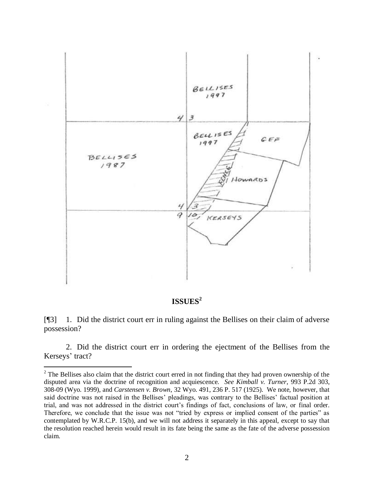

## **ISSUES<sup>2</sup>**

[¶3] 1. Did the district court err in ruling against the Bellises on their claim of adverse possession?

2. Did the district court err in ordering the ejectment of the Bellises from the Kerseys' tract?

<sup>&</sup>lt;sup>2</sup> The Bellises also claim that the district court erred in not finding that they had proven ownership of the disputed area via the doctrine of recognition and acquiescence. *See Kimball v. Turner*, 993 P.2d 303, 308-09 (Wyo. 1999), and *Carstensen v. Brown*, 32 Wyo. 491, 236 P. 517 (1925). We note, however, that said doctrine was not raised in the Bellises' pleadings, was contrary to the Bellises' factual position at trial, and was not addressed in the district court's findings of fact, conclusions of law, or final order. Therefore, we conclude that the issue was not "tried by express or implied consent of the parties" as contemplated by W.R.C.P. 15(b), and we will not address it separately in this appeal, except to say that the resolution reached herein would result in its fate being the same as the fate of the adverse possession claim.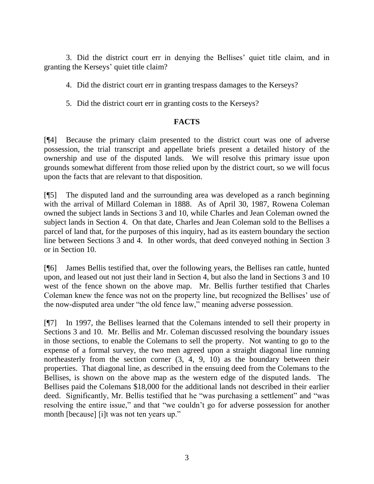3. Did the district court err in denying the Bellises' quiet title claim, and in granting the Kerseys' quiet title claim?

- 4. Did the district court err in granting trespass damages to the Kerseys?
- 5. Did the district court err in granting costs to the Kerseys?

#### **FACTS**

[¶4] Because the primary claim presented to the district court was one of adverse possession, the trial transcript and appellate briefs present a detailed history of the ownership and use of the disputed lands. We will resolve this primary issue upon grounds somewhat different from those relied upon by the district court, so we will focus upon the facts that are relevant to that disposition.

[¶5] The disputed land and the surrounding area was developed as a ranch beginning with the arrival of Millard Coleman in 1888. As of April 30, 1987, Rowena Coleman owned the subject lands in Sections 3 and 10, while Charles and Jean Coleman owned the subject lands in Section 4. On that date, Charles and Jean Coleman sold to the Bellises a parcel of land that, for the purposes of this inquiry, had as its eastern boundary the section line between Sections 3 and 4. In other words, that deed conveyed nothing in Section 3 or in Section 10.

[¶6] James Bellis testified that, over the following years, the Bellises ran cattle, hunted upon, and leased out not just their land in Section 4, but also the land in Sections 3 and 10 west of the fence shown on the above map. Mr. Bellis further testified that Charles Coleman knew the fence was not on the property line, but recognized the Bellises' use of the now-disputed area under "the old fence law," meaning adverse possession.

[¶7] In 1997, the Bellises learned that the Colemans intended to sell their property in Sections 3 and 10. Mr. Bellis and Mr. Coleman discussed resolving the boundary issues in those sections, to enable the Colemans to sell the property. Not wanting to go to the expense of a formal survey, the two men agreed upon a straight diagonal line running northeasterly from the section corner (3, 4, 9, 10) as the boundary between their properties. That diagonal line, as described in the ensuing deed from the Colemans to the Bellises, is shown on the above map as the western edge of the disputed lands. The Bellises paid the Colemans \$18,000 for the additional lands not described in their earlier deed. Significantly, Mr. Bellis testified that he "was purchasing a settlement" and "was resolving the entire issue," and that "we couldn't go for adverse possession for another month [because] [i]t was not ten years up."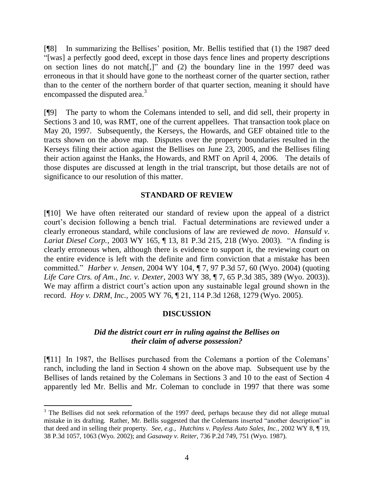[¶8] In summarizing the Bellises' position, Mr. Bellis testified that (1) the 1987 deed "[was] a perfectly good deed, except in those days fence lines and property descriptions on section lines do not match[,]" and (2) the boundary line in the 1997 deed was erroneous in that it should have gone to the northeast corner of the quarter section, rather than to the center of the northern border of that quarter section, meaning it should have encompassed the disputed area.<sup>3</sup>

[¶9] The party to whom the Colemans intended to sell, and did sell, their property in Sections 3 and 10, was RMT, one of the current appellees. That transaction took place on May 20, 1997. Subsequently, the Kerseys, the Howards, and GEF obtained title to the tracts shown on the above map. Disputes over the property boundaries resulted in the Kerseys filing their action against the Bellises on June 23, 2005, and the Bellises filing their action against the Hanks, the Howards, and RMT on April 4, 2006. The details of those disputes are discussed at length in the trial transcript, but those details are not of significance to our resolution of this matter.

#### **STANDARD OF REVIEW**

[¶10] We have often reiterated our standard of review upon the appeal of a district court's decision following a bench trial. Factual determinations are reviewed under a clearly erroneous standard, while conclusions of law are reviewed *de novo*. *Hansuld v. Lariat Diesel Corp.*, 2003 WY 165, ¶ 13, 81 P.3d 215, 218 (Wyo. 2003). "A finding is clearly erroneous when, although there is evidence to support it, the reviewing court on the entire evidence is left with the definite and firm conviction that a mistake has been committed." *Harber v. Jensen*, 2004 WY 104, ¶ 7, 97 P.3d 57, 60 (Wyo. 2004) (quoting *Life Care Ctrs. of Am., Inc. v. Dexter*, 2003 WY 38, ¶ 7, 65 P.3d 385, 389 (Wyo. 2003)). We may affirm a district court's action upon any sustainable legal ground shown in the record. *Hoy v. DRM, Inc.*, 2005 WY 76, ¶ 21, 114 P.3d 1268, 1279 (Wyo. 2005).

## **DISCUSSION**

### *Did the district court err in ruling against the Bellises on their claim of adverse possession?*

[¶11] In 1987, the Bellises purchased from the Colemans a portion of the Colemans' ranch, including the land in Section 4 shown on the above map. Subsequent use by the Bellises of lands retained by the Colemans in Sections 3 and 10 to the east of Section 4 apparently led Mr. Bellis and Mr. Coleman to conclude in 1997 that there was some

<sup>&</sup>lt;sup>3</sup> The Bellises did not seek reformation of the 1997 deed, perhaps because they did not allege mutual mistake in its drafting. Rather, Mr. Bellis suggested that the Colemans inserted "another description" in that deed and in selling their property. *See, e.g., Hutchins v. Payless Auto Sales, Inc.*, 2002 WY 8, ¶ 19, 38 P.3d 1057, 1063 (Wyo. 2002); and *Gasaway v. Reiter*, 736 P.2d 749, 751 (Wyo. 1987).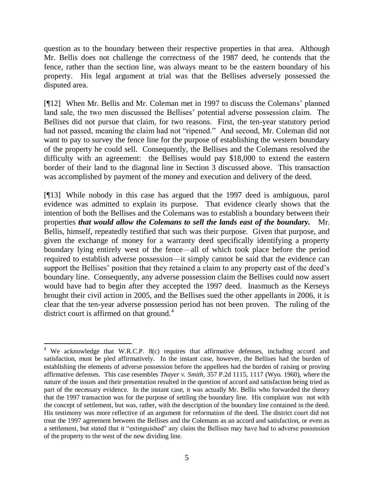question as to the boundary between their respective properties in that area. Although Mr. Bellis does not challenge the correctness of the 1987 deed, he contends that the fence, rather than the section line, was always meant to be the eastern boundary of his property. His legal argument at trial was that the Bellises adversely possessed the disputed area.

[¶12] When Mr. Bellis and Mr. Coleman met in 1997 to discuss the Colemans' planned land sale, the two men discussed the Bellises' potential adverse possession claim. The Bellises did not pursue that claim, for two reasons. First, the ten-year statutory period had not passed, meaning the claim had not "ripened." And second, Mr. Coleman did not want to pay to survey the fence line for the purpose of establishing the western boundary of the property he could sell. Consequently, the Bellises and the Colemans resolved the difficulty with an agreement: the Bellises would pay \$18,000 to extend the eastern border of their land to the diagonal line in Section 3 discussed above. This transaction was accomplished by payment of the money and execution and delivery of the deed.

[¶13] While nobody in this case has argued that the 1997 deed is ambiguous, parol evidence was admitted to explain its purpose. That evidence clearly shows that the intention of both the Bellises and the Colemans was to establish a boundary between their properties *that would allow the Colemans to sell the lands east of the boundary.* Mr. Bellis, himself, repeatedly testified that such was their purpose. Given that purpose, and given the exchange of money for a warranty deed specifically identifying a property boundary lying entirely west of the fence—all of which took place before the period required to establish adverse possession—it simply cannot be said that the evidence can support the Bellises' position that they retained a claim to any property east of the deed's boundary line. Consequently, any adverse possession claim the Bellises could now assert would have had to begin after they accepted the 1997 deed. Inasmuch as the Kerseys brought their civil action in 2005, and the Bellises sued the other appellants in 2006, it is clear that the ten-year adverse possession period has not been proven. The ruling of the district court is affirmed on that ground.<sup>4</sup>

 <sup>4</sup> We acknowledge that W.R.C.P. 8(c) requires that affirmative defenses, including accord and satisfaction, must be pled affirmatively. In the instant case, however, the Bellises had the burden of establishing the elements of adverse possession before the appellees had the burden of raising or proving affirmative defenses. This case resembles *Thayer v. Smith*, 357 P.2d 1115, 1117 (Wyo. 1960), where the nature of the issues and their presentation resulted in the question of accord and satisfaction being tried as part of the necessary evidence. In the instant case, it was actually Mr. Bellis who forwarded the theory that the 1997 transaction was for the purpose of settling the boundary line. His complaint was not with the concept of settlement, but was, rather, with the description of the boundary line contained in the deed. His testimony was more reflective of an argument for reformation of the deed. The district court did not treat the 1997 agreement between the Bellises and the Colemans as an accord and satisfaction, or even as a settlement, but stated that it "extinguished" any claim the Bellises may have had to adverse possession of the property to the west of the new dividing line.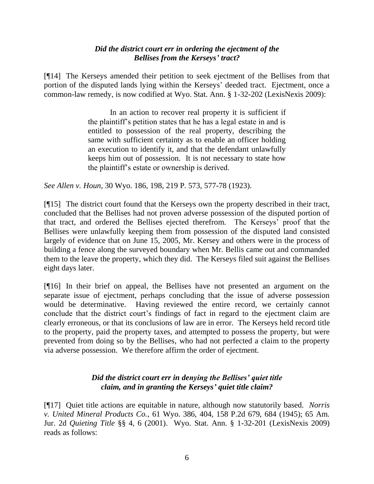## *Did the district court err in ordering the ejectment of the Bellises from the Kerseys' tract?*

[¶14] The Kerseys amended their petition to seek ejectment of the Bellises from that portion of the disputed lands lying within the Kerseys' deeded tract. Ejectment, once a common-law remedy, is now codified at Wyo. Stat. Ann. § 1-32-202 (LexisNexis 2009):

> In an action to recover real property it is sufficient if the plaintiff's petition states that he has a legal estate in and is entitled to possession of the real property, describing the same with sufficient certainty as to enable an officer holding an execution to identify it, and that the defendant unlawfully keeps him out of possession. It is not necessary to state how the plaintiff's estate or ownership is derived.

*See Allen v. Houn*, 30 Wyo. 186, 198, 219 P. 573, 577-78 (1923).

[¶15] The district court found that the Kerseys own the property described in their tract, concluded that the Bellises had not proven adverse possession of the disputed portion of that tract, and ordered the Bellises ejected therefrom. The Kerseys' proof that the Bellises were unlawfully keeping them from possession of the disputed land consisted largely of evidence that on June 15, 2005, Mr. Kersey and others were in the process of building a fence along the surveyed boundary when Mr. Bellis came out and commanded them to the leave the property, which they did. The Kerseys filed suit against the Bellises eight days later.

[¶16] In their brief on appeal, the Bellises have not presented an argument on the separate issue of ejectment, perhaps concluding that the issue of adverse possession would be determinative. Having reviewed the entire record, we certainly cannot conclude that the district court's findings of fact in regard to the ejectment claim are clearly erroneous, or that its conclusions of law are in error. The Kerseys held record title to the property, paid the property taxes, and attempted to possess the property, but were prevented from doing so by the Bellises, who had not perfected a claim to the property via adverse possession. We therefore affirm the order of ejectment.

## *Did the district court err in denying the Bellises' quiet title claim, and in granting the Kerseys' quiet title claim?*

[¶17] Quiet title actions are equitable in nature, although now statutorily based. *Norris v. United Mineral Products Co.*, 61 Wyo. 386, 404, 158 P.2d 679, 684 (1945); 65 Am. Jur. 2d *Quieting Title* §§ 4, 6 (2001). Wyo. Stat. Ann. § 1-32-201 (LexisNexis 2009) reads as follows: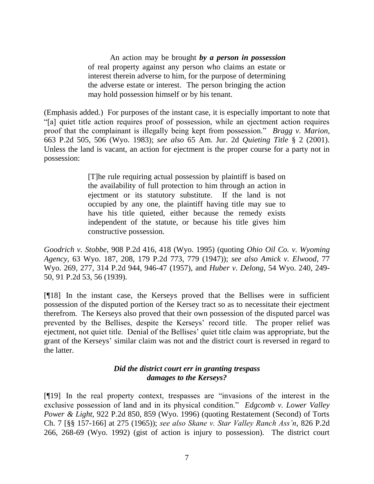An action may be brought *by a person in possession* of real property against any person who claims an estate or interest therein adverse to him, for the purpose of determining the adverse estate or interest. The person bringing the action may hold possession himself or by his tenant.

(Emphasis added.) For purposes of the instant case, it is especially important to note that "[a] quiet title action requires proof of possession, while an ejectment action requires proof that the complainant is illegally being kept from possession." *Bragg v. Marion*, 663 P.2d 505, 506 (Wyo. 1983); *see also* 65 Am. Jur. 2d *Quieting Title* § 2 (2001). Unless the land is vacant, an action for ejectment is the proper course for a party not in possession:

> [T]he rule requiring actual possession by plaintiff is based on the availability of full protection to him through an action in ejectment or its statutory substitute. If the land is not occupied by any one, the plaintiff having title may sue to have his title quieted, either because the remedy exists independent of the statute, or because his title gives him constructive possession.

*Goodrich v. Stobbe*, 908 P.2d 416, 418 (Wyo. 1995) (quoting *Ohio Oil Co. v. Wyoming Agency*, 63 Wyo. 187, 208, 179 P.2d 773, 779 (1947)); *see also Amick v. Elwood*, 77 Wyo. 269, 277, 314 P.2d 944, 946-47 (1957), and *Huber v. Delong*, 54 Wyo. 240, 249- 50, 91 P.2d 53, 56 (1939).

[¶18] In the instant case, the Kerseys proved that the Bellises were in sufficient possession of the disputed portion of the Kersey tract so as to necessitate their ejectment therefrom. The Kerseys also proved that their own possession of the disputed parcel was prevented by the Bellises, despite the Kerseys' record title. The proper relief was ejectment, not quiet title. Denial of the Bellises' quiet title claim was appropriate, but the grant of the Kerseys' similar claim was not and the district court is reversed in regard to the latter.

## *Did the district court err in granting trespass damages to the Kerseys?*

[¶19] In the real property context, trespasses are "invasions of the interest in the exclusive possession of land and in its physical condition." *Edgcomb v. Lower Valley Power & Light*, 922 P.2d 850, 859 (Wyo. 1996) (quoting Restatement (Second) of Torts Ch. 7 [§§ 157-166] at 275 (1965)); *see also Skane v. Star Valley Ranch Ass'n*, 826 P.2d 266, 268-69 (Wyo. 1992) (gist of action is injury to possession). The district court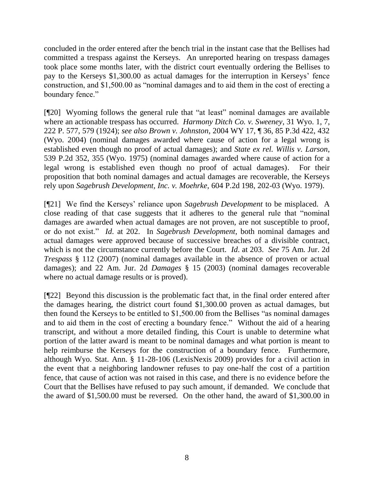concluded in the order entered after the bench trial in the instant case that the Bellises had committed a trespass against the Kerseys. An unreported hearing on trespass damages took place some months later, with the district court eventually ordering the Bellises to pay to the Kerseys \$1,300.00 as actual damages for the interruption in Kerseys' fence construction, and \$1,500.00 as "nominal damages and to aid them in the cost of erecting a boundary fence."

[¶20] Wyoming follows the general rule that "at least" nominal damages are available where an actionable trespass has occurred. *Harmony Ditch Co. v. Sweeney*, 31 Wyo. 1, 7, 222 P. 577, 579 (1924); *see also Brown v. Johnston*, 2004 WY 17, ¶ 36, 85 P.3d 422, 432 (Wyo. 2004) (nominal damages awarded where cause of action for a legal wrong is established even though no proof of actual damages); and *State ex rel. Willis v. Larson*, 539 P.2d 352, 355 (Wyo. 1975) (nominal damages awarded where cause of action for a legal wrong is established even though no proof of actual damages). For their proposition that both nominal damages and actual damages are recoverable, the Kerseys rely upon *Sagebrush Development, Inc. v. Moehrke*, 604 P.2d 198, 202-03 (Wyo. 1979).

[¶21] We find the Kerseys' reliance upon *Sagebrush Development* to be misplaced. A close reading of that case suggests that it adheres to the general rule that "nominal damages are awarded when actual damages are not proven, are not susceptible to proof, or do not exist." *Id*. at 202. In *Sagebrush Development*, both nominal damages and actual damages were approved because of successive breaches of a divisible contract, which is not the circumstance currently before the Court. *Id*. at 203. *See* 75 Am. Jur. 2d *Trespass* § 112 (2007) (nominal damages available in the absence of proven or actual damages); and 22 Am. Jur. 2d *Damages* § 15 (2003) (nominal damages recoverable where no actual damage results or is proved).

[¶22] Beyond this discussion is the problematic fact that, in the final order entered after the damages hearing, the district court found \$1,300.00 proven as actual damages, but then found the Kerseys to be entitled to \$1,500.00 from the Bellises "as nominal damages and to aid them in the cost of erecting a boundary fence." Without the aid of a hearing transcript, and without a more detailed finding, this Court is unable to determine what portion of the latter award is meant to be nominal damages and what portion is meant to help reimburse the Kerseys for the construction of a boundary fence. Furthermore, although Wyo. Stat. Ann. § 11-28-106 (LexisNexis 2009) provides for a civil action in the event that a neighboring landowner refuses to pay one-half the cost of a partition fence, that cause of action was not raised in this case, and there is no evidence before the Court that the Bellises have refused to pay such amount, if demanded. We conclude that the award of \$1,500.00 must be reversed. On the other hand, the award of \$1,300.00 in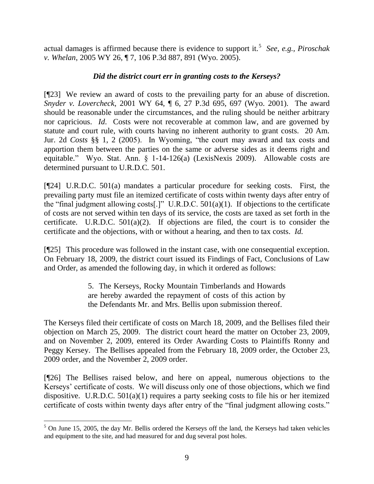actual damages is affirmed because there is evidence to support it.<sup>5</sup> See, e.g., Piroschak *v. Whelan*, 2005 WY 26, ¶ 7, 106 P.3d 887, 891 (Wyo. 2005).

## *Did the district court err in granting costs to the Kerseys?*

[¶23] We review an award of costs to the prevailing party for an abuse of discretion. *Snyder v. Lovercheck*, 2001 WY 64, ¶ 6, 27 P.3d 695, 697 (Wyo. 2001). The award should be reasonable under the circumstances, and the ruling should be neither arbitrary nor capricious. *Id*. Costs were not recoverable at common law, and are governed by statute and court rule, with courts having no inherent authority to grant costs. 20 Am. Jur. 2d *Costs* §§ 1, 2 (2005). In Wyoming, "the court may award and tax costs and apportion them between the parties on the same or adverse sides as it deems right and equitable." Wyo. Stat. Ann. § 1-14-126(a) (LexisNexis 2009). Allowable costs are determined pursuant to U.R.D.C. 501.

[¶24] U.R.D.C. 501(a) mandates a particular procedure for seeking costs. First, the prevailing party must file an itemized certificate of costs within twenty days after entry of the "final judgment allowing costs[.]" U.R.D.C. 501(a)(1). If objections to the certificate of costs are not served within ten days of its service, the costs are taxed as set forth in the certificate. U.R.D.C.  $501(a)(2)$ . If objections are filed, the court is to consider the certificate and the objections, with or without a hearing, and then to tax costs. *Id*.

[¶25] This procedure was followed in the instant case, with one consequential exception. On February 18, 2009, the district court issued its Findings of Fact, Conclusions of Law and Order, as amended the following day, in which it ordered as follows:

> 5. The Kerseys, Rocky Mountain Timberlands and Howards are hereby awarded the repayment of costs of this action by the Defendants Mr. and Mrs. Bellis upon submission thereof.

The Kerseys filed their certificate of costs on March 18, 2009, and the Bellises filed their objection on March 25, 2009. The district court heard the matter on October 23, 2009, and on November 2, 2009, entered its Order Awarding Costs to Plaintiffs Ronny and Peggy Kersey. The Bellises appealed from the February 18, 2009 order, the October 23, 2009 order, and the November 2, 2009 order.

[¶26] The Bellises raised below, and here on appeal, numerous objections to the Kerseys' certificate of costs. We will discuss only one of those objections, which we find dispositive. U.R.D.C. 501(a)(1) requires a party seeking costs to file his or her itemized certificate of costs within twenty days after entry of the "final judgment allowing costs."

 $5$  On June 15, 2005, the day Mr. Bellis ordered the Kerseys off the land, the Kerseys had taken vehicles and equipment to the site, and had measured for and dug several post holes.